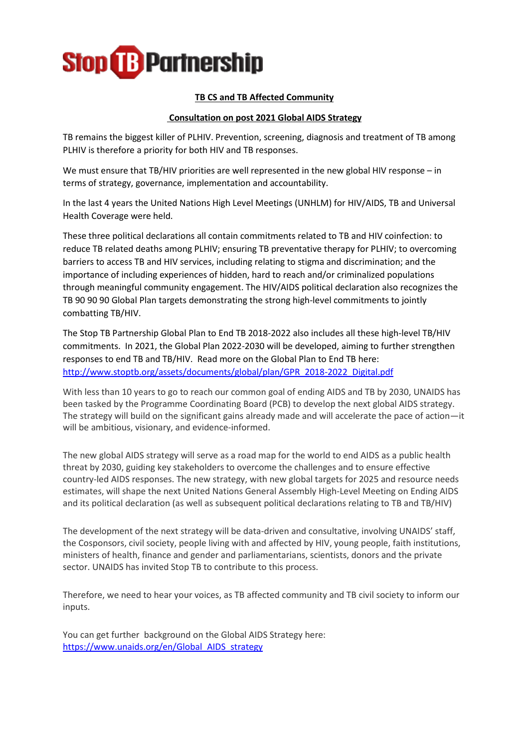

## **TB CS and TB Affected Community**

## **Consultation on post 2021 Global AIDS Strategy**

TB remains the biggest killer of PLHIV. Prevention, screening, diagnosis and treatment of TB among PLHIV is therefore a priority for both HIV and TB responses.

We must ensure that TB/HIV priorities are well represented in the new global HIV response – in terms of strategy, governance, implementation and accountability.

In the last 4 years the United Nations High Level Meetings (UNHLM) for HIV/AIDS, TB and Universal Health Coverage were held.

These three political declarations all contain commitments related to TB and HIV coinfection: to reduce TB related deaths among PLHIV; ensuring TB preventative therapy for PLHIV; to overcoming barriers to access TB and HIV services, including relating to stigma and discrimination; and the importance of including experiences of hidden, hard to reach and/or criminalized populations through meaningful community engagement. The HIV/AIDS political declaration also recognizes the TB 90 90 90 Global Plan targets demonstrating the strong high-level commitments to jointly combatting TB/HIV.

The Stop TB Partnership Global Plan to End TB 2018-2022 also includes all these high-level TB/HIV commitments. In 2021, the Global Plan 2022-2030 will be developed, aiming to further strengthen responses to end TB and TB/HIV. Read more on the Global Plan to End TB here: [http://www.stoptb.org/assets/documents/global/plan/GPR\\_2018-2022\\_Digital.pdf](http://www.stoptb.org/assets/documents/global/plan/GPR_2018-2022_Digital.pdf)

With less than 10 years to go to reach our common goal of ending AIDS and TB by 2030, UNAIDS has been tasked by the Programme Coordinating Board (PCB) to develop the next global AIDS strategy. The strategy will build on the significant gains already made and will accelerate the pace of action—it will be ambitious, visionary, and evidence-informed.

The new global AIDS strategy will serve as a road map for the world to end AIDS as a public health threat by 2030, guiding key stakeholders to overcome the challenges and to ensure effective country-led AIDS responses. The new strategy, with new global targets for 2025 and resource needs estimates, will shape the next United Nations General Assembly High-Level Meeting on Ending AIDS and its political declaration (as well as subsequent political declarations relating to TB and TB/HIV)

The development of the next strategy will be data-driven and consultative, involving UNAIDS' staff, the Cosponsors, civil society, people living with and affected by HIV, young people, faith institutions, ministers of health, finance and gender and parliamentarians, scientists, donors and the private sector. UNAIDS has invited Stop TB to contribute to this process.

Therefore, we need to hear your voices, as TB affected community and TB civil society to inform our inputs.

You can get further background on the Global AIDS Strategy here: [https://www.unaids.org/en/Global\\_AIDS\\_strategy](https://www.unaids.org/en/Global_AIDS_strategy)